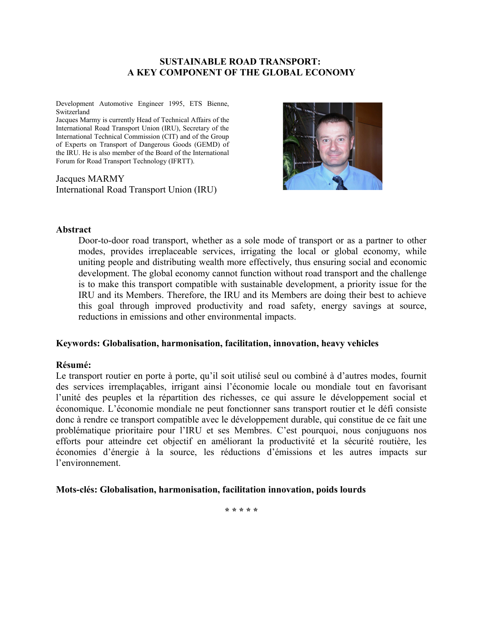#### **SUSTAINABLE ROAD TRANSPORT: A KEY COMPONENT OF THE GLOBAL ECONOMY**

Development Automotive Engineer 1995, ETS Bienne, Switzerland

Jacques Marmy is currently Head of Technical Affairs of the International Road Transport Union (IRU), Secretary of the International Technical Commission (CIT) and of the Group of Experts on Transport of Dangerous Goods (GEMD) of the IRU. He is also member of the Board of the International Forum for Road Transport Technology (IFRTT).

Jacques MARMY International Road Transport Union (IRU)



#### **Abstract**

Door-to-door road transport, whether as a sole mode of transport or as a partner to other modes, provides irreplaceable services, irrigating the local or global economy, while uniting people and distributing wealth more effectively, thus ensuring social and economic development. The global economy cannot function without road transport and the challenge is to make this transport compatible with sustainable development, a priority issue for the IRU and its Members. Therefore, the IRU and its Members are doing their best to achieve this goal through improved productivity and road safety, energy savings at source, reductions in emissions and other environmental impacts.

#### **Keywords: Globalisation, harmonisation, facilitation, innovation, heavy vehicles**

#### **Résumé:**

Le transport routier en porte à porte, qu'il soit utilisé seul ou combiné à d'autres modes, fournit des services irremplaçables, irrigant ainsi l'économie locale ou mondiale tout en favorisant l'unité des peuples et la répartition des richesses, ce qui assure le développement social et économique. L'économie mondiale ne peut fonctionner sans transport routier et le défi consiste donc à rendre ce transport compatible avec le développement durable, qui constitue de ce fait une problématique prioritaire pour l'IRU et ses Membres. C'est pourquoi, nous conjuguons nos efforts pour atteindre cet objectif en améliorant la productivité et la sécurité routière, les économies d'énergie à la source, les réductions d'émissions et les autres impacts sur l'environnement.

#### **Mots-clés: Globalisation, harmonisation, facilitation innovation, poids lourds**

**\* \* \* \* \***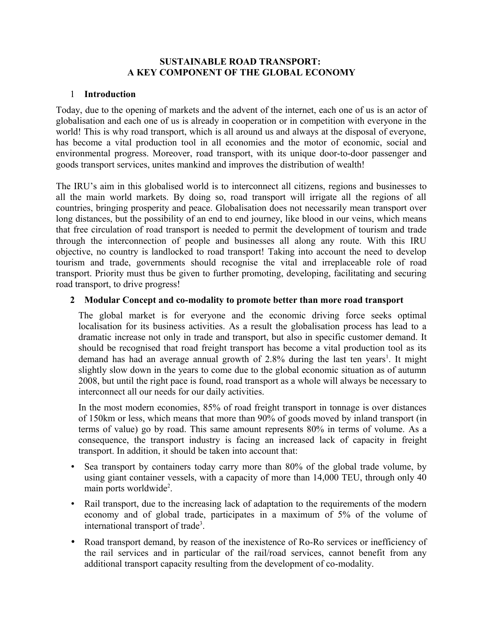#### **SUSTAINABLE ROAD TRANSPORT: A KEY COMPONENT OF THE GLOBAL ECONOMY**

### 1 **Introduction**

Today, due to the opening of markets and the advent of the internet, each one of us is an actor of globalisation and each one of us is already in cooperation or in competition with everyone in the world! This is why road transport, which is all around us and always at the disposal of everyone, has become a vital production tool in all economies and the motor of economic, social and environmental progress. Moreover, road transport, with its unique door-to-door passenger and goods transport services, unites mankind and improves the distribution of wealth!

The IRU's aim in this globalised world is to interconnect all citizens, regions and businesses to all the main world markets. By doing so, road transport will irrigate all the regions of all countries, bringing prosperity and peace. Globalisation does not necessarily mean transport over long distances, but the possibility of an end to end journey, like blood in our veins, which means that free circulation of road transport is needed to permit the development of tourism and trade through the interconnection of people and businesses all along any route. With this IRU objective, no country is landlocked to road transport! Taking into account the need to develop tourism and trade, governments should recognise the vital and irreplaceable role of road transport. Priority must thus be given to further promoting, developing, facilitating and securing road transport, to drive progress!

# **2 Modular Concept and co-modality to promote better than more road transport**

The global market is for everyone and the economic driving force seeks optimal localisation for its business activities. As a result the globalisation process has lead to a dramatic increase not only in trade and transport, but also in specific customer demand. It should be recognised that road freight transport has become a vital production tool as its demand has had an average annual growth of  $2.8\%$  during the last ten years<sup>[1](#page-13-0)</sup>. It might slightly slow down in the years to come due to the global economic situation as of autumn 2008, but until the right pace is found, road transport as a whole will always be necessary to interconnect all our needs for our daily activities.

In the most modern economies, 85% of road freight transport in tonnage is over distances of 150km or less, which means that more than 90% of goods moved by inland transport (in terms of value) go by road. This same amount represents 80% in terms of volume. As a consequence, the transport industry is facing an increased lack of capacity in freight transport. In addition, it should be taken into account that:

- Sea transport by containers today carry more than 80% of the global trade volume, by using giant container vessels, with a capacity of more than 14,000 TEU, through only 40 main ports worldwide<sup>[2](#page-13-1)</sup>.
- Rail transport, due to the increasing lack of adaptation to the requirements of the modern economy and of global trade, participates in a maximum of 5% of the volume of international transport of trade<sup>[3](#page-13-2)</sup>.
- Road transport demand, by reason of the inexistence of Ro-Ro services or inefficiency of the rail services and in particular of the rail/road services, cannot benefit from any additional transport capacity resulting from the development of co-modality.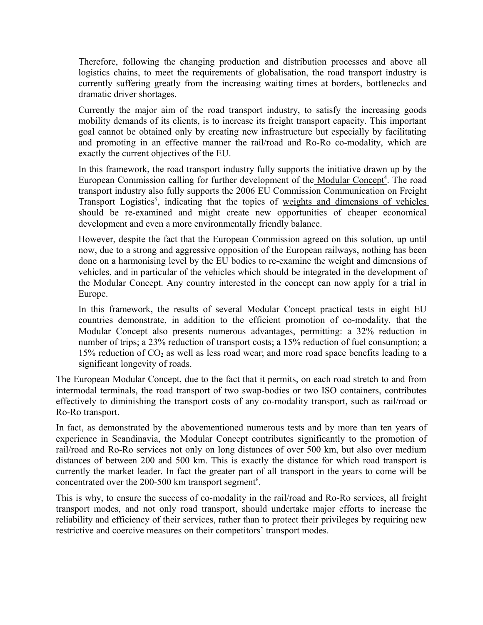Therefore, following the changing production and distribution processes and above all logistics chains, to meet the requirements of globalisation, the road transport industry is currently suffering greatly from the increasing waiting times at borders, bottlenecks and dramatic driver shortages.

Currently the major aim of the road transport industry, to satisfy the increasing goods mobility demands of its clients, is to increase its freight transport capacity. This important goal cannot be obtained only by creating new infrastructure but especially by facilitating and promoting in an effective manner the rail/road and Ro-Ro co-modality, which are exactly the current objectives of the EU.

In this framework, the road transport industry fully supports the initiative drawn up by the European Commission calling for further development of the Modular Concept<sup>4</sup>. The road transport industry also fully supports the 2006 EU Commission Communication on Freight Transport Logistics<sup>[5](#page-13-4)</sup>, indicating that the topics of weights and dimensions of vehicles should be re-examined and might create new opportunities of cheaper economical development and even a more environmentally friendly balance.

However, despite the fact that the European Commission agreed on this solution, up until now, due to a strong and aggressive opposition of the European railways, nothing has been done on a harmonising level by the EU bodies to re-examine the weight and dimensions of vehicles, and in particular of the vehicles which should be integrated in the development of the Modular Concept. Any country interested in the concept can now apply for a trial in Europe.

In this framework, the results of several Modular Concept practical tests in eight EU countries demonstrate, in addition to the efficient promotion of co-modality, that the Modular Concept also presents numerous advantages, permitting: a 32% reduction in number of trips; a 23% reduction of transport costs; a 15% reduction of fuel consumption; a 15% reduction of  $CO<sub>2</sub>$  as well as less road wear; and more road space benefits leading to a significant longevity of roads.

The European Modular Concept, due to the fact that it permits, on each road stretch to and from intermodal terminals, the road transport of two swap-bodies or two ISO containers, contributes effectively to diminishing the transport costs of any co-modality transport, such as rail/road or Ro-Ro transport.

In fact, as demonstrated by the abovementioned numerous tests and by more than ten years of experience in Scandinavia, the Modular Concept contributes significantly to the promotion of rail/road and Ro-Ro services not only on long distances of over 500 km, but also over medium distances of between 200 and 500 km. This is exactly the distance for which road transport is currently the market leader. In fact the greater part of all transport in the years to come will be concentrated over the 200-500 km transport segment<sup>[6](#page-13-5)</sup>.

This is why, to ensure the success of co-modality in the rail/road and Ro-Ro services, all freight transport modes, and not only road transport, should undertake major efforts to increase the reliability and efficiency of their services, rather than to protect their privileges by requiring new restrictive and coercive measures on their competitors' transport modes.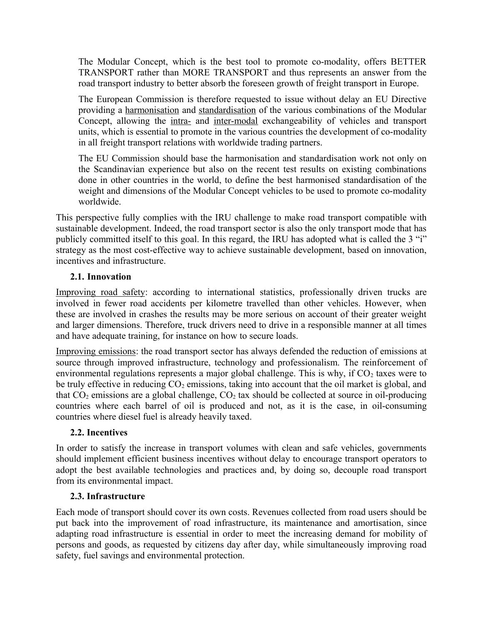The Modular Concept, which is the best tool to promote co-modality, offers BETTER TRANSPORT rather than MORE TRANSPORT and thus represents an answer from the road transport industry to better absorb the foreseen growth of freight transport in Europe.

The European Commission is therefore requested to issue without delay an EU Directive providing a harmonisation and standardisation of the various combinations of the Modular Concept, allowing the intra- and inter-modal exchangeability of vehicles and transport units, which is essential to promote in the various countries the development of co-modality in all freight transport relations with worldwide trading partners.

The EU Commission should base the harmonisation and standardisation work not only on the Scandinavian experience but also on the recent test results on existing combinations done in other countries in the world, to define the best harmonised standardisation of the weight and dimensions of the Modular Concept vehicles to be used to promote co-modality worldwide.

This perspective fully complies with the IRU challenge to make road transport compatible with sustainable development. Indeed, the road transport sector is also the only transport mode that has publicly committed itself to this goal. In this regard, the IRU has adopted what is called the 3 "i" strategy as the most cost-effective way to achieve sustainable development, based on innovation, incentives and infrastructure.

### **2.1. Innovation**

Improving road safety: according to international statistics, professionally driven trucks are involved in fewer road accidents per kilometre travelled than other vehicles. However, when these are involved in crashes the results may be more serious on account of their greater weight and larger dimensions. Therefore, truck drivers need to drive in a responsible manner at all times and have adequate training, for instance on how to secure loads.

Improving emissions: the road transport sector has always defended the reduction of emissions at source through improved infrastructure, technology and professionalism. The reinforcement of environmental regulations represents a major global challenge. This is why, if  $CO<sub>2</sub>$  taxes were to be truly effective in reducing  $CO_2$  emissions, taking into account that the oil market is global, and that  $CO_2$  emissions are a global challenge,  $CO_2$  tax should be collected at source in oil-producing countries where each barrel of oil is produced and not, as it is the case, in oil-consuming countries where diesel fuel is already heavily taxed.

### **2.2. Incentives**

In order to satisfy the increase in transport volumes with clean and safe vehicles, governments should implement efficient business incentives without delay to encourage transport operators to adopt the best available technologies and practices and, by doing so, decouple road transport from its environmental impact.

### **2.3. Infrastructure**

Each mode of transport should cover its own costs. Revenues collected from road users should be put back into the improvement of road infrastructure, its maintenance and amortisation, since adapting road infrastructure is essential in order to meet the increasing demand for mobility of persons and goods, as requested by citizens day after day, while simultaneously improving road safety, fuel savings and environmental protection.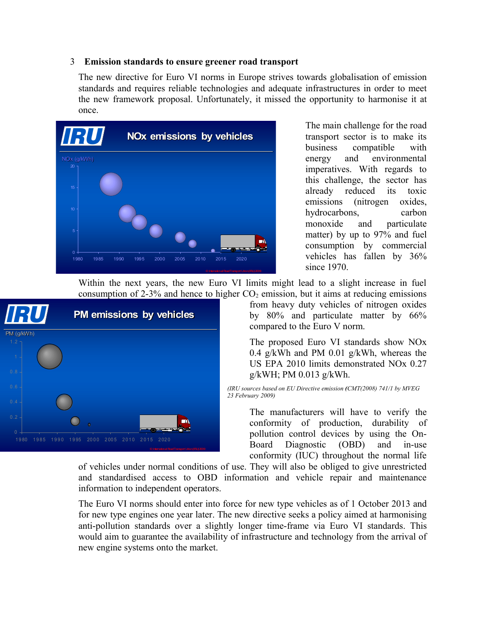#### 3 **Emission standards to ensure greener road transport**

The new directive for Euro VI norms in Europe strives towards globalisation of emission standards and requires reliable technologies and adequate infrastructures in order to meet the new framework proposal. Unfortunately, it missed the opportunity to harmonise it at once.

| VRU                           |      |      |      |      |      |      |      | <b>NOx emissions by vehicles</b>          |  |
|-------------------------------|------|------|------|------|------|------|------|-------------------------------------------|--|
| NOx (g/kWh)                   |      |      |      |      |      |      |      |                                           |  |
| 20<br>15 <sub>15</sub>        |      |      |      |      |      |      |      |                                           |  |
| 10                            |      |      |      |      |      |      |      |                                           |  |
| $\overline{5}$<br>$\mathbf 0$ |      |      |      |      |      |      |      |                                           |  |
| 1980                          | 1985 | 1990 | 1995 | 2000 | 2005 | 2010 | 2015 | 2020                                      |  |
|                               |      |      |      |      |      |      |      | <b>Strippofend DrefTerrend Libra(IO 1</b> |  |

The main challenge for the road transport sector is to make its business compatible with energy and environmental imperatives. With regards to this challenge, the sector has already reduced its toxic emissions (nitrogen oxides, hydrocarbons, carbon monoxide and particulate matter) by up to 97% and fuel consumption by commercial vehicles has fallen by 36% since 1970.

Within the next years, the new Euro VI limits might lead to a slight increase in fuel consumption of 2-3% and hence to higher  $CO<sub>2</sub>$  emission, but it aims at reducing emissions



from heavy duty vehicles of nitrogen oxides by 80% and particulate matter by 66% compared to the Euro V norm.

The proposed Euro VI standards show NOx 0.4 g/kWh and PM 0.01 g/kWh, whereas the US EPA 2010 limits demonstrated NOx 0.27 g/kWH; PM 0.013 g/kWh.

*(IRU sources based on EU Directive emission (CMT(2008) 741/1 by MVEG 23 February 2009)*

> The manufacturers will have to verify the conformity of production, durability of pollution control devices by using the On-Board Diagnostic (OBD) and in-use conformity (IUC) throughout the normal life

of vehicles under normal conditions of use. They will also be obliged to give unrestricted and standardised access to OBD information and vehicle repair and maintenance information to independent operators.

The Euro VI norms should enter into force for new type vehicles as of 1 October 2013 and for new type engines one year later. The new directive seeks a policy aimed at harmonising anti-pollution standards over a slightly longer time-frame via Euro VI standards. This would aim to guarantee the availability of infrastructure and technology from the arrival of new engine systems onto the market.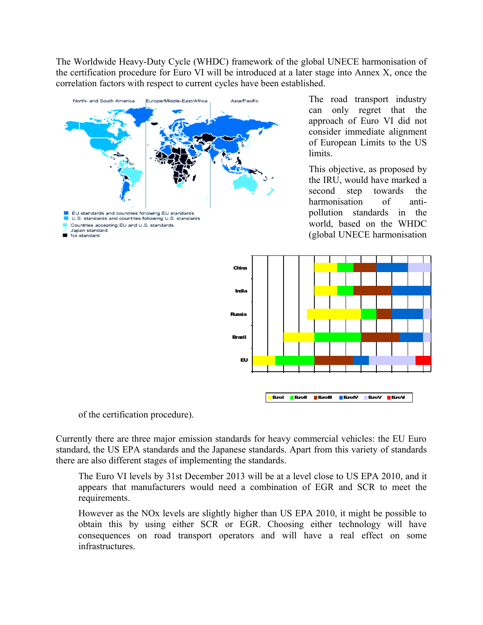The Worldwide Heavy-Duty Cycle (WHDC) framework of the global UNECE harmonisation of the certification procedure for Euro VI will be introduced at a later stage into Annex X, once the correlation factors with respect to current cycles have been established.



The road transport industry can only regret that the approach of Euro VI did not consider immediate alignment of European Limits to the US limits.

This objective, as proposed by the IRU, would have marked a second step towards the harmonisation of antipollution standards in the world, based on the WHDC (global UNECE harmonisation



of the certification procedure).

Currently there are three major emission standards for heavy commercial vehicles: the EU Euro standard, the US EPA standards and the Japanese standards. Apart from this variety of standards there are also different stages of implementing the standards.

The Euro VI levels by 31st December 2013 will be at a level close to US EPA 2010, and it appears that manufacturers would need a combination of EGR and SCR to meet the requirements.

However as the NOx levels are slightly higher than US EPA 2010, it might be possible to obtain this by using either SCR or EGR. Choosing either technology will have consequences on road transport operators and will have a real effect on some infrastructures.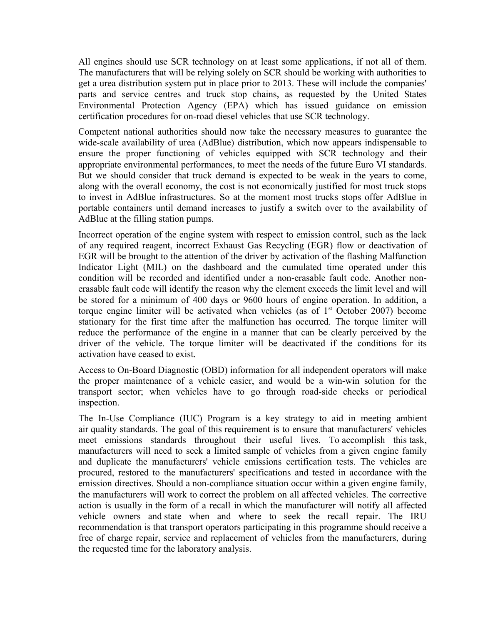All engines should use SCR technology on at least some applications, if not all of them. The manufacturers that will be relying solely on SCR should be working with authorities to get a urea distribution system put in place prior to 2013. These will include the companies' parts and service centres and truck stop chains, as requested by the United States Environmental Protection Agency (EPA) which has issued guidance on emission certification procedures for on-road diesel vehicles that use SCR technology.

Competent national authorities should now take the necessary measures to guarantee the wide-scale availability of urea (AdBlue) distribution, which now appears indispensable to ensure the proper functioning of vehicles equipped with SCR technology and their appropriate environmental performances, to meet the needs of the future Euro VI standards. But we should consider that truck demand is expected to be weak in the years to come, along with the overall economy, the cost is not economically justified for most truck stops to invest in AdBlue infrastructures. So at the moment most trucks stops offer AdBlue in portable containers until demand increases to justify a switch over to the availability of AdBlue at the filling station pumps.

Incorrect operation of the engine system with respect to emission control, such as the lack of any required reagent, incorrect Exhaust Gas Recycling (EGR) flow or deactivation of EGR will be brought to the attention of the driver by activation of the flashing Malfunction Indicator Light (MIL) on the dashboard and the cumulated time operated under this condition will be recorded and identified under a non-erasable fault code. Another nonerasable fault code will identify the reason why the element exceeds the limit level and will be stored for a minimum of 400 days or 9600 hours of engine operation. In addition, a torque engine limiter will be activated when vehicles (as of  $1<sup>st</sup>$  October 2007) become stationary for the first time after the malfunction has occurred. The torque limiter will reduce the performance of the engine in a manner that can be clearly perceived by the driver of the vehicle. The torque limiter will be deactivated if the conditions for its activation have ceased to exist.

Access to On-Board Diagnostic (OBD) information for all independent operators will make the proper maintenance of a vehicle easier, and would be a win-win solution for the transport sector; when vehicles have to go through road-side checks or periodical inspection.

The In-Use Compliance (IUC) Program is a key strategy to aid in meeting ambient air quality standards. The goal of this requirement is to ensure that manufacturers' vehicles meet emissions standards throughout their useful lives. To accomplish this task, manufacturers will need to seek a limited sample of vehicles from a given engine family and duplicate the manufacturers' vehicle emissions certification tests. The vehicles are procured, restored to the manufacturers' specifications and tested in accordance with the emission directives. Should a non-compliance situation occur within a given engine family, the manufacturers will work to correct the problem on all affected vehicles. The corrective action is usually in the form of a recall in which the manufacturer will notify all affected vehicle owners and state when and where to seek the recall repair. The IRU recommendation is that transport operators participating in this programme should receive a free of charge repair, service and replacement of vehicles from the manufacturers, during the requested time for the laboratory analysis.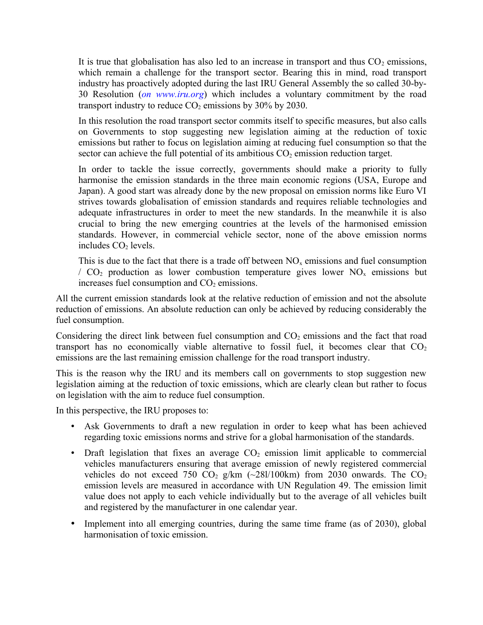It is true that globalisation has also led to an increase in transport and thus  $CO<sub>2</sub>$  emissions, which remain a challenge for the transport sector. Bearing this in mind, road transport industry has proactively adopted during the last IRU General Assembly the so called 30-by-30 Resolution (*on www.iru.org*) which includes a voluntary commitment by the road transport industry to reduce  $CO<sub>2</sub>$  emissions by 30% by 2030.

In this resolution the road transport sector commits itself to specific measures, but also calls on Governments to stop suggesting new legislation aiming at the reduction of toxic emissions but rather to focus on legislation aiming at reducing fuel consumption so that the sector can achieve the full potential of its ambitious  $CO<sub>2</sub>$  emission reduction target.

In order to tackle the issue correctly, governments should make a priority to fully harmonise the emission standards in the three main economic regions (USA, Europe and Japan). A good start was already done by the new proposal on emission norms like Euro VI strives towards globalisation of emission standards and requires reliable technologies and adequate infrastructures in order to meet the new standards. In the meanwhile it is also crucial to bring the new emerging countries at the levels of the harmonised emission standards. However, in commercial vehicle sector, none of the above emission norms includes  $CO<sub>2</sub>$  levels.

This is due to the fact that there is a trade off between  $NO<sub>x</sub>$  emissions and fuel consumption /  $CO<sub>2</sub>$  production as lower combustion temperature gives lower NO<sub>x</sub> emissions but increases fuel consumption and  $CO<sub>2</sub>$  emissions.

All the current emission standards look at the relative reduction of emission and not the absolute reduction of emissions. An absolute reduction can only be achieved by reducing considerably the fuel consumption.

Considering the direct link between fuel consumption and  $CO<sub>2</sub>$  emissions and the fact that road transport has no economically viable alternative to fossil fuel, it becomes clear that  $CO<sub>2</sub>$ emissions are the last remaining emission challenge for the road transport industry.

This is the reason why the IRU and its members call on governments to stop suggestion new legislation aiming at the reduction of toxic emissions, which are clearly clean but rather to focus on legislation with the aim to reduce fuel consumption.

In this perspective, the IRU proposes to:

- Ask Governments to draft a new regulation in order to keep what has been achieved regarding toxic emissions norms and strive for a global harmonisation of the standards.
- Draft legislation that fixes an average  $CO<sub>2</sub>$  emission limit applicable to commercial vehicles manufacturers ensuring that average emission of newly registered commercial vehicles do not exceed 750 CO<sub>2</sub> g/km  $(-281/100 \text{km})$  from 2030 onwards. The CO<sub>2</sub> emission levels are measured in accordance with UN Regulation 49. The emission limit value does not apply to each vehicle individually but to the average of all vehicles built and registered by the manufacturer in one calendar year.
- Implement into all emerging countries, during the same time frame (as of 2030), global harmonisation of toxic emission.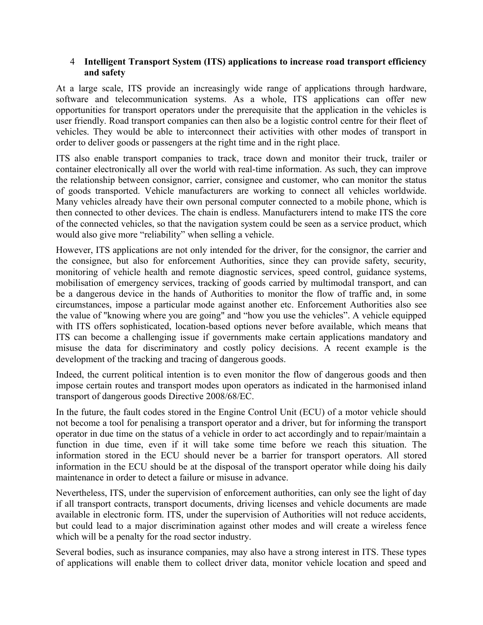### 4 **Intelligent Transport System (ITS) applications to increase road transport efficiency and safety**

At a large scale, ITS provide an increasingly wide range of applications through hardware, software and telecommunication systems. As a whole, ITS applications can offer new opportunities for transport operators under the prerequisite that the application in the vehicles is user friendly. Road transport companies can then also be a logistic control centre for their fleet of vehicles. They would be able to interconnect their activities with other modes of transport in order to deliver goods or passengers at the right time and in the right place.

ITS also enable transport companies to track, trace down and monitor their truck, trailer or container electronically all over the world with real-time information. As such, they can improve the relationship between consignor, carrier, consignee and customer, who can monitor the status of goods transported. Vehicle manufacturers are working to connect all vehicles worldwide. Many vehicles already have their own personal computer connected to a mobile phone, which is then connected to other devices. The chain is endless. Manufacturers intend to make ITS the core of the connected vehicles, so that the navigation system could be seen as a service product, which would also give more "reliability" when selling a vehicle.

However, ITS applications are not only intended for the driver, for the consignor, the carrier and the consignee, but also for enforcement Authorities, since they can provide safety, security, monitoring of vehicle health and remote diagnostic services, speed control, guidance systems, mobilisation of emergency services, tracking of goods carried by multimodal transport, and can be a dangerous device in the hands of Authorities to monitor the flow of traffic and, in some circumstances, impose a particular mode against another etc. Enforcement Authorities also see the value of "knowing where you are going" and "how you use the vehicles". A vehicle equipped with ITS offers sophisticated, location-based options never before available, which means that ITS can become a challenging issue if governments make certain applications mandatory and misuse the data for discriminatory and costly policy decisions. A recent example is the development of the tracking and tracing of dangerous goods.

Indeed, the current political intention is to even monitor the flow of dangerous goods and then impose certain routes and transport modes upon operators as indicated in the harmonised inland transport of dangerous goods Directive 2008/68/EC.

In the future, the fault codes stored in the Engine Control Unit (ECU) of a motor vehicle should not become a tool for penalising a transport operator and a driver, but for informing the transport operator in due time on the status of a vehicle in order to act accordingly and to repair/maintain a function in due time, even if it will take some time before we reach this situation. The information stored in the ECU should never be a barrier for transport operators. All stored information in the ECU should be at the disposal of the transport operator while doing his daily maintenance in order to detect a failure or misuse in advance.

Nevertheless, ITS, under the supervision of enforcement authorities, can only see the light of day if all transport contracts, transport documents, driving licenses and vehicle documents are made available in electronic form. ITS, under the supervision of Authorities will not reduce accidents, but could lead to a major discrimination against other modes and will create a wireless fence which will be a penalty for the road sector industry.

Several bodies, such as insurance companies, may also have a strong interest in ITS. These types of applications will enable them to collect driver data, monitor vehicle location and speed and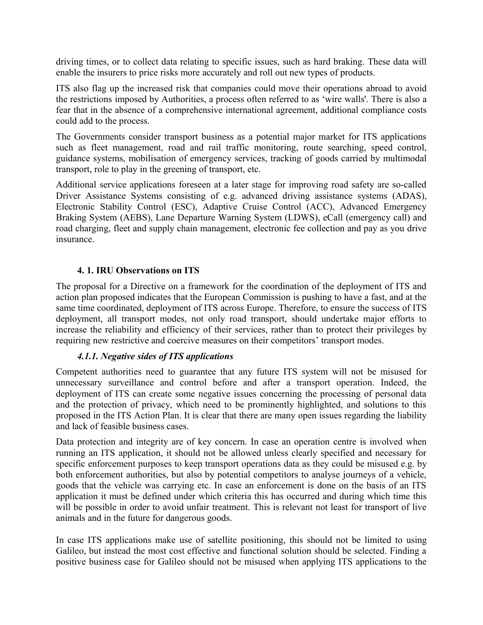driving times, or to collect data relating to specific issues, such as hard braking. These data will enable the insurers to price risks more accurately and roll out new types of products.

ITS also flag up the increased risk that companies could move their operations abroad to avoid the restrictions imposed by Authorities, a process often referred to as 'wire walls'. There is also a fear that in the absence of a comprehensive international agreement, additional compliance costs could add to the process.

The Governments consider transport business as a potential major market for ITS applications such as fleet management, road and rail traffic monitoring, route searching, speed control, guidance systems, mobilisation of emergency services, tracking of goods carried by multimodal transport, role to play in the greening of transport, etc.

Additional service applications foreseen at a later stage for improving road safety are so-called Driver Assistance Systems consisting of e.g. advanced driving assistance systems (ADAS), Electronic Stability Control (ESC), Adaptive Cruise Control (ACC), Advanced Emergency Braking System (AEBS), Lane Departure Warning System (LDWS), eCall (emergency call) and road charging, fleet and supply chain management, electronic fee collection and pay as you drive insurance.

### **4. 1. IRU Observations on ITS**

The proposal for a Directive on a framework for the coordination of the deployment of ITS and action plan proposed indicates that the European Commission is pushing to have a fast, and at the same time coordinated, deployment of ITS across Europe. Therefore, to ensure the success of ITS deployment, all transport modes, not only road transport, should undertake major efforts to increase the reliability and efficiency of their services, rather than to protect their privileges by requiring new restrictive and coercive measures on their competitors' transport modes.

# *4.1.1. Negative sides of ITS applications*

Competent authorities need to guarantee that any future ITS system will not be misused for unnecessary surveillance and control before and after a transport operation. Indeed, the deployment of ITS can create some negative issues concerning the processing of personal data and the protection of privacy, which need to be prominently highlighted, and solutions to this proposed in the ITS Action Plan. It is clear that there are many open issues regarding the liability and lack of feasible business cases.

Data protection and integrity are of key concern. In case an operation centre is involved when running an ITS application, it should not be allowed unless clearly specified and necessary for specific enforcement purposes to keep transport operations data as they could be misused e.g. by both enforcement authorities, but also by potential competitors to analyse journeys of a vehicle, goods that the vehicle was carrying etc. In case an enforcement is done on the basis of an ITS application it must be defined under which criteria this has occurred and during which time this will be possible in order to avoid unfair treatment. This is relevant not least for transport of live animals and in the future for dangerous goods.

In case ITS applications make use of satellite positioning, this should not be limited to using Galileo, but instead the most cost effective and functional solution should be selected. Finding a positive business case for Galileo should not be misused when applying ITS applications to the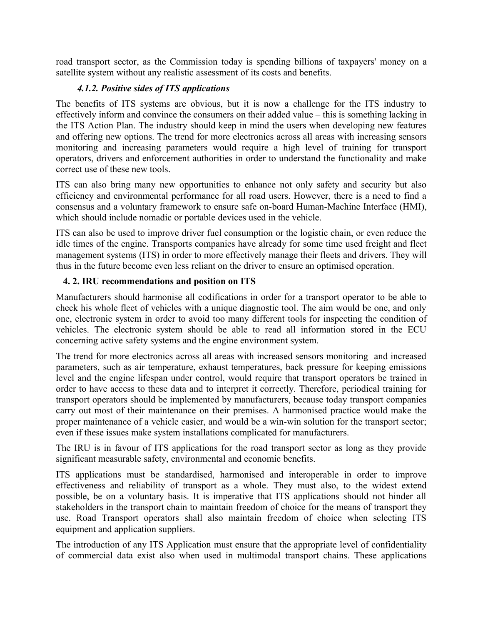road transport sector, as the Commission today is spending billions of taxpayers' money on a satellite system without any realistic assessment of its costs and benefits.

# *4.1.2. Positive sides of ITS applications*

The benefits of ITS systems are obvious, but it is now a challenge for the ITS industry to effectively inform and convince the consumers on their added value – this is something lacking in the ITS Action Plan. The industry should keep in mind the users when developing new features and offering new options. The trend for more electronics across all areas with increasing sensors monitoring and increasing parameters would require a high level of training for transport operators, drivers and enforcement authorities in order to understand the functionality and make correct use of these new tools.

ITS can also bring many new opportunities to enhance not only safety and security but also efficiency and environmental performance for all road users. However, there is a need to find a consensus and a voluntary framework to ensure safe on-board Human-Machine Interface (HMI), which should include nomadic or portable devices used in the vehicle.

ITS can also be used to improve driver fuel consumption or the logistic chain, or even reduce the idle times of the engine. Transports companies have already for some time used freight and fleet management systems (ITS) in order to more effectively manage their fleets and drivers. They will thus in the future become even less reliant on the driver to ensure an optimised operation.

# **4. 2. IRU recommendations and position on ITS**

Manufacturers should harmonise all codifications in order for a transport operator to be able to check his whole fleet of vehicles with a unique diagnostic tool. The aim would be one, and only one, electronic system in order to avoid too many different tools for inspecting the condition of vehicles. The electronic system should be able to read all information stored in the ECU concerning active safety systems and the engine environment system.

The trend for more electronics across all areas with increased sensors monitoring and increased parameters, such as air temperature, exhaust temperatures, back pressure for keeping emissions level and the engine lifespan under control, would require that transport operators be trained in order to have access to these data and to interpret it correctly. Therefore, periodical training for transport operators should be implemented by manufacturers, because today transport companies carry out most of their maintenance on their premises. A harmonised practice would make the proper maintenance of a vehicle easier, and would be a win-win solution for the transport sector; even if these issues make system installations complicated for manufacturers.

The IRU is in favour of ITS applications for the road transport sector as long as they provide significant measurable safety, environmental and economic benefits.

ITS applications must be standardised, harmonised and interoperable in order to improve effectiveness and reliability of transport as a whole. They must also, to the widest extend possible, be on a voluntary basis. It is imperative that ITS applications should not hinder all stakeholders in the transport chain to maintain freedom of choice for the means of transport they use. Road Transport operators shall also maintain freedom of choice when selecting ITS equipment and application suppliers.

The introduction of any ITS Application must ensure that the appropriate level of confidentiality of commercial data exist also when used in multimodal transport chains. These applications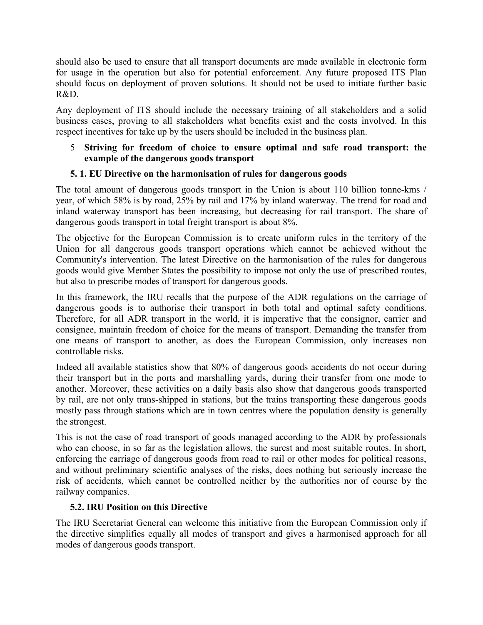should also be used to ensure that all transport documents are made available in electronic form for usage in the operation but also for potential enforcement. Any future proposed ITS Plan should focus on deployment of proven solutions. It should not be used to initiate further basic R&D.

Any deployment of ITS should include the necessary training of all stakeholders and a solid business cases, proving to all stakeholders what benefits exist and the costs involved. In this respect incentives for take up by the users should be included in the business plan.

### 5 **Striving for freedom of choice to ensure optimal and safe road transport: the example of the dangerous goods transport**

# **5. 1. EU Directive on the harmonisation of rules for dangerous goods**

The total amount of dangerous goods transport in the Union is about 110 billion tonne-kms / year, of which 58% is by road, 25% by rail and 17% by inland waterway. The trend for road and inland waterway transport has been increasing, but decreasing for rail transport. The share of dangerous goods transport in total freight transport is about 8%.

The objective for the European Commission is to create uniform rules in the territory of the Union for all dangerous goods transport operations which cannot be achieved without the Community's intervention. The latest Directive on the harmonisation of the rules for dangerous goods would give Member States the possibility to impose not only the use of prescribed routes, but also to prescribe modes of transport for dangerous goods.

In this framework, the IRU recalls that the purpose of the ADR regulations on the carriage of dangerous goods is to authorise their transport in both total and optimal safety conditions. Therefore, for all ADR transport in the world, it is imperative that the consignor, carrier and consignee, maintain freedom of choice for the means of transport. Demanding the transfer from one means of transport to another, as does the European Commission, only increases non controllable risks.

Indeed all available statistics show that 80% of dangerous goods accidents do not occur during their transport but in the ports and marshalling yards, during their transfer from one mode to another. Moreover, these activities on a daily basis also show that dangerous goods transported by rail, are not only trans-shipped in stations, but the trains transporting these dangerous goods mostly pass through stations which are in town centres where the population density is generally the strongest.

This is not the case of road transport of goods managed according to the ADR by professionals who can choose, in so far as the legislation allows, the surest and most suitable routes. In short, enforcing the carriage of dangerous goods from road to rail or other modes for political reasons, and without preliminary scientific analyses of the risks, does nothing but seriously increase the risk of accidents, which cannot be controlled neither by the authorities nor of course by the railway companies.

### **5.2. IRU Position on this Directive**

The IRU Secretariat General can welcome this initiative from the European Commission only if the directive simplifies equally all modes of transport and gives a harmonised approach for all modes of dangerous goods transport.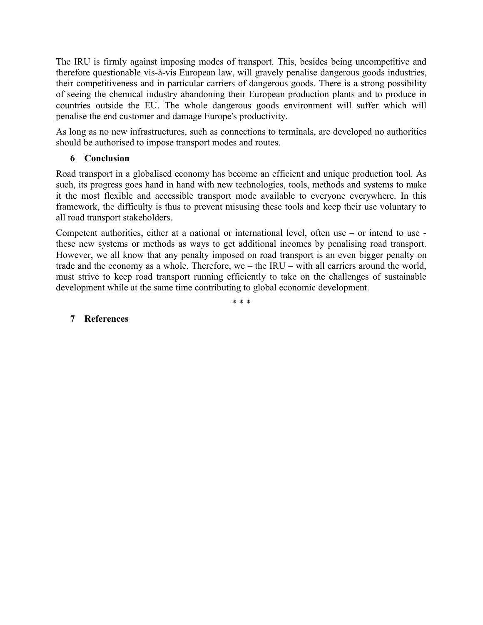The IRU is firmly against imposing modes of transport. This, besides being uncompetitive and therefore questionable vis-à-vis European law, will gravely penalise dangerous goods industries, their competitiveness and in particular carriers of dangerous goods. There is a strong possibility of seeing the chemical industry abandoning their European production plants and to produce in countries outside the EU. The whole dangerous goods environment will suffer which will penalise the end customer and damage Europe's productivity.

As long as no new infrastructures, such as connections to terminals, are developed no authorities should be authorised to impose transport modes and routes.

### **6 Conclusion**

Road transport in a globalised economy has become an efficient and unique production tool. As such, its progress goes hand in hand with new technologies, tools, methods and systems to make it the most flexible and accessible transport mode available to everyone everywhere. In this framework, the difficulty is thus to prevent misusing these tools and keep their use voluntary to all road transport stakeholders.

Competent authorities, either at a national or international level, often use – or intend to use these new systems or methods as ways to get additional incomes by penalising road transport. However, we all know that any penalty imposed on road transport is an even bigger penalty on trade and the economy as a whole. Therefore, we – the IRU – with all carriers around the world, must strive to keep road transport running efficiently to take on the challenges of sustainable development while at the same time contributing to global economic development.

\* \* \*

### **7 References**